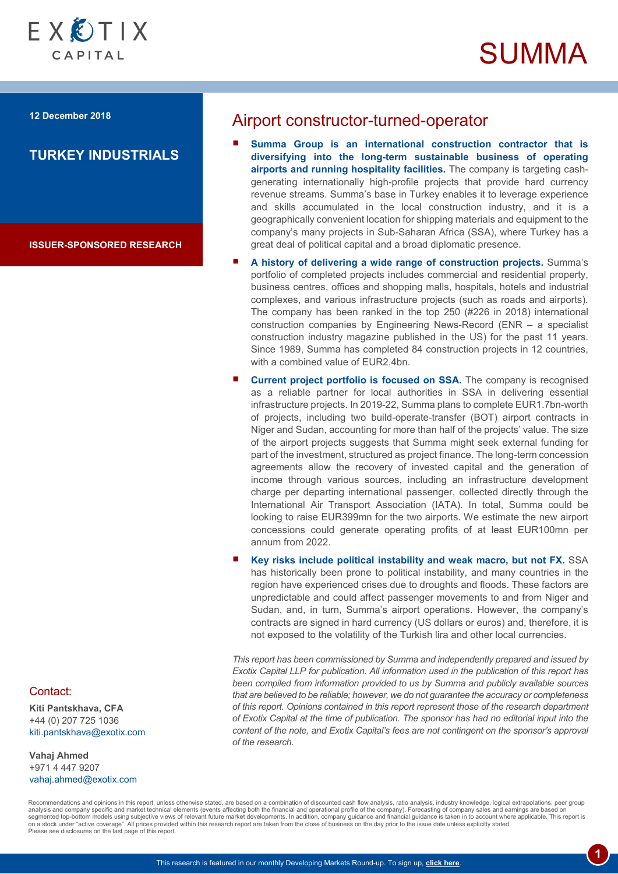



**12 December 2018**

# **TURKEY INDUSTRIALS**

**ISSUER-SPONSORED RESEARCH**

# Airport constructor-turned-operator

- **Summa Group is an international construction contractor that is diversifying into the long-term sustainable business of operating airports and running hospitality facilities.** The company is targeting cashgenerating internationally high-profile projects that provide hard currency revenue streams. Summa's base in Turkey enables it to leverage experience and skills accumulated in the local construction industry, and it is a geographically convenient location for shipping materials and equipment to the company's many projects in Sub-Saharan Africa (SSA), where Turkey has a great deal of political capital and a broad diplomatic presence.
- **A history of delivering a wide range of construction projects.** Summa's portfolio of completed projects includes commercial and residential property, business centres, offices and shopping malls, hospitals, hotels and industrial complexes, and various infrastructure projects (such as roads and airports). The company has been ranked in the top 250 (#226 in 2018) international construction companies by Engineering News-Record (ENR – a specialist construction industry magazine published in the US) for the past 11 years. Since 1989, Summa has completed 84 construction projects in 12 countries, with a combined value of EUR2.4bn.
- **Current project portfolio is focused on SSA.** The company is recognised as a reliable partner for local authorities in SSA in delivering essential infrastructure projects. In 2019-22, Summa plans to complete EUR1.7bn-worth of projects, including two build-operate-transfer (BOT) airport contracts in Niger and Sudan, accounting for more than half of the projects' value. The size of the airport projects suggests that Summa might seek external funding for part of the investment, structured as project finance. The long-term concession agreements allow the recovery of invested capital and the generation of income through various sources, including an infrastructure development charge per departing international passenger, collected directly through the International Air Transport Association (IATA). In total, Summa could be looking to raise EUR399mn for the two airports. We estimate the new airport concessions could generate operating profits of at least EUR100mn per annum from 2022.
- **Key risks include political instability and weak macro, but not FX.** SSA has historically been prone to political instability, and many countries in the region have experienced crises due to droughts and floods. These factors are unpredictable and could affect passenger movements to and from Niger and Sudan, and, in turn, Summa's airport operations. However, the company's contracts are signed in hard currency (US dollars or euros) and, therefore, it is not exposed to the volatility of the Turkish lira and other local currencies.

*This report has been commissioned by Summa and independently prepared and issued by Exotix Capital LLP for publication. All information used in the publication of this report has been compiled from information provided to us by Summa and publicly available sources that are believed to be reliable; however, we do not guarantee the accuracy or completeness of this report. Opinions contained in this report represent those of the research department of Exotix Capital at the time of publication. The sponsor has had no editorial input into the content of the note, and Exotix Capital's fees are not contingent on the sponsor's approval of the research.*

**1**

Recommendations and opinions in this report, unless otherwise stated, are based on a combination of discounted cash flow analysis, ratio analysis, industry knowledge, logical extrapolations, peer group analysis and company specific and market technical elements (events affecting both the financial and operational profile of the company). Forecasting of company sales and earnings are based on segmented top-bottom models using subjective views of relevant future market developments. In addition, company guidance and financial guidance is taken in to account where applicable. This report is<br>on a stock under "acti Please see disclosures on the last page of this report.

**Kiti Pantskhava, CFA** +44 (0) 207 725 1036 [kiti.pantskhava@exotix.com](mailto:kiti.pantskhava@exotix.com)

**Vahaj Ahmed** +971 4 447 9207 [vahaj.ahmed@exotix.com](mailto:vahaj.ahmed@exotix.com)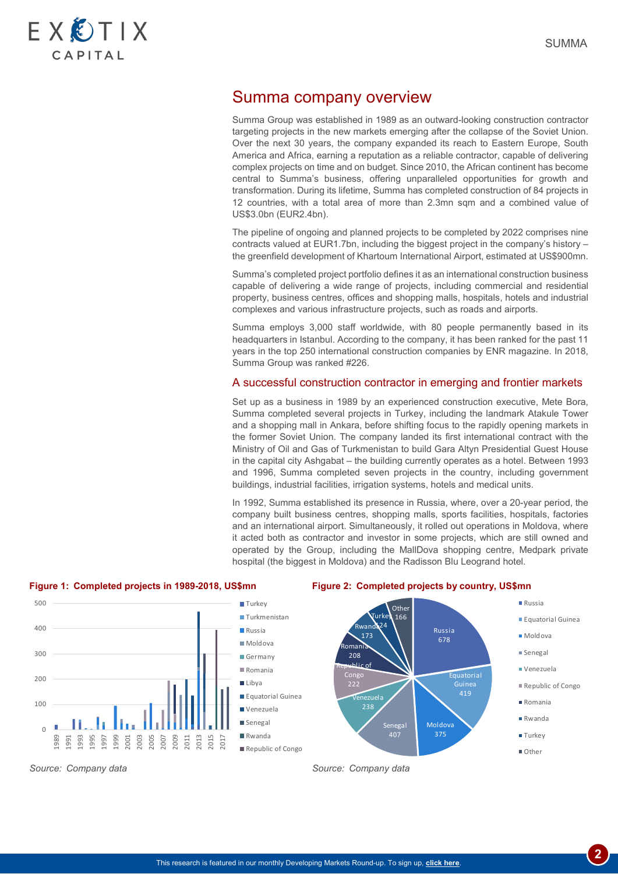

# Summa company overview

Summa Group was established in 1989 as an outward-looking construction contractor targeting projects in the new markets emerging after the collapse of the Soviet Union. Over the next 30 years, the company expanded its reach to Eastern Europe, South America and Africa, earning a reputation as a reliable contractor, capable of delivering complex projects on time and on budget. Since 2010, the African continent has become central to Summa's business, offering unparalleled opportunities for growth and transformation. During its lifetime, Summa has completed construction of 84 projects in 12 countries, with a total area of more than 2.3mn sqm and a combined value of US\$3.0bn (EUR2.4bn).

The pipeline of ongoing and planned projects to be completed by 2022 comprises nine contracts valued at EUR1.7bn, including the biggest project in the company's history – the greenfield development of Khartoum International Airport, estimated at US\$900mn.

Summa's completed project portfolio defines it as an international construction business capable of delivering a wide range of projects, including commercial and residential property, business centres, offices and shopping malls, hospitals, hotels and industrial complexes and various infrastructure projects, such as roads and airports.

Summa employs 3,000 staff worldwide, with 80 people permanently based in its headquarters in Istanbul. According to the company, it has been ranked for the past 11 years in the top 250 international construction companies by ENR magazine. In 2018, Summa Group was ranked #226.

### A successful construction contractor in emerging and frontier markets

Set up as a business in 1989 by an experienced construction executive, Mete Bora, Summa completed several projects in Turkey, including the landmark Atakule Tower and a shopping mall in Ankara, before shifting focus to the rapidly opening markets in the former Soviet Union. The company landed its first international contract with the Ministry of Oil and Gas of Turkmenistan to build Gara Altyn Presidential Guest House in the capital city Ashgabat – the building currently operates as a hotel. Between 1993 and 1996, Summa completed seven projects in the country, including government buildings, industrial facilities, irrigation systems, hotels and medical units.

In 1992, Summa established its presence in Russia, where, over a 20-year period, the company built business centres, shopping malls, sports facilities, hospitals, factories and an international airport. Simultaneously, it rolled out operations in Moldova, where it acted both as contractor and investor in some projects, which are still owned and operated by the Group, including the MallDova shopping centre, Medpark private hospital (the biggest in Moldova) and the Radisson Blu Leogrand hotel.



**Figure 1: Completed projects in 1989-2018, US\$mn Figure 2: Completed projects by country, US\$mn**

*Source: Company data Source: Company data*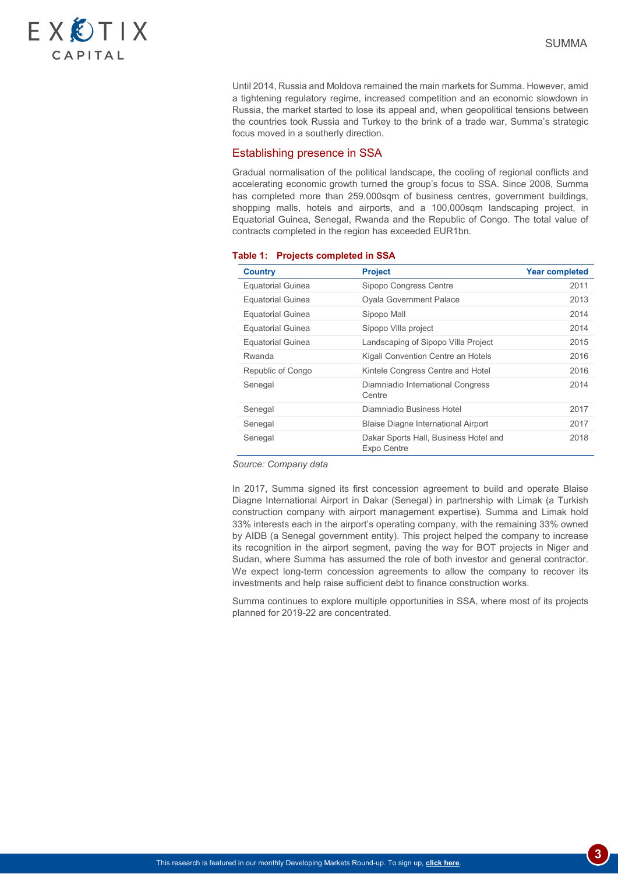

Until 2014, Russia and Moldova remained the main markets for Summa. However, amid a tightening regulatory regime, increased competition and an economic slowdown in Russia, the market started to lose its appeal and, when geopolitical tensions between the countries took Russia and Turkey to the brink of a trade war, Summa's strategic focus moved in a southerly direction.

#### Establishing presence in SSA

Gradual normalisation of the political landscape, the cooling of regional conflicts and accelerating economic growth turned the group's focus to SSA. Since 2008, Summa has completed more than 259,000sqm of business centres, government buildings, shopping malls, hotels and airports, and a 100,000sqm landscaping project, in Equatorial Guinea, Senegal, Rwanda and the Republic of Congo. The total value of contracts completed in the region has exceeded EUR1bn.

| <b>Country</b>           | <b>Project</b>                                       | <b>Year completed</b> |
|--------------------------|------------------------------------------------------|-----------------------|
| <b>Equatorial Guinea</b> | Sipopo Congress Centre                               | 2011                  |
| <b>Equatorial Guinea</b> | <b>Oyala Government Palace</b>                       | 2013                  |
| <b>Equatorial Guinea</b> | Sipopo Mall                                          | 2014                  |
| <b>Equatorial Guinea</b> | Sipopo Villa project                                 | 2014                  |
| <b>Equatorial Guinea</b> | Landscaping of Sipopo Villa Project                  | 2015                  |
| Rwanda                   | Kigali Convention Centre an Hotels                   | 2016                  |
| Republic of Congo        | Kintele Congress Centre and Hotel                    | 2016                  |
| Senegal                  | Diamniadio International Congress<br>Centre          | 2014                  |
| Senegal                  | Diamniadio Business Hotel                            | 2017                  |
| Senegal                  | <b>Blaise Diagne International Airport</b>           | 2017                  |
| Senegal                  | Dakar Sports Hall, Business Hotel and<br>Expo Centre | 2018                  |

#### **Table 1: Projects completed in SSA**

*Source: Company data*

In 2017, Summa signed its first concession agreement to build and operate Blaise Diagne International Airport in Dakar (Senegal) in partnership with Limak (a Turkish construction company with airport management expertise). Summa and Limak hold 33% interests each in the airport's operating company, with the remaining 33% owned by AIDB (a Senegal government entity). This project helped the company to increase its recognition in the airport segment, paving the way for BOT projects in Niger and Sudan, where Summa has assumed the role of both investor and general contractor. We expect long-term concession agreements to allow the company to recover its investments and help raise sufficient debt to finance construction works.

Summa continues to explore multiple opportunities in SSA, where most of its projects planned for 2019-22 are concentrated.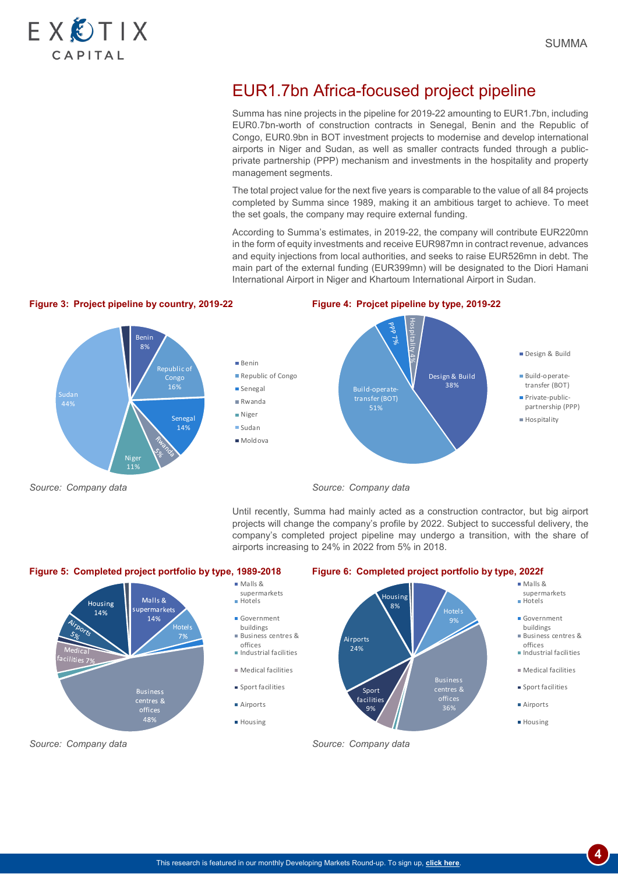

# EUR1.7bn Africa-focused project pipeline

Summa has nine projects in the pipeline for 2019-22 amounting to EUR1.7bn, including EUR0.7bn-worth of construction contracts in Senegal, Benin and the Republic of Congo, EUR0.9bn in BOT investment projects to modernise and develop international airports in Niger and Sudan, as well as smaller contracts funded through a publicprivate partnership (PPP) mechanism and investments in the hospitality and property management segments.

The total project value for the next five years is comparable to the value of all 84 projects completed by Summa since 1989, making it an ambitious target to achieve. To meet the set goals, the company may require external funding.

According to Summa's estimates, in 2019-22, the company will contribute EUR220mn in the form of equity investments and receive EUR987mn in contract revenue, advances and equity injections from local authorities, and seeks to raise EUR526mn in debt. The main part of the external funding (EUR399mn) will be designated to the Diori Hamani International Airport in Niger and Khartoum International Airport in Sudan.

# **Figure 3: Project pipeline by country, 2019-22 Figure 4: Projcet pipeline by type, 2019-22**



*Source: Company data Source: Company data*

Until recently, Summa had mainly acted as a construction contractor, but big airport projects will change the company's profile by 2022. Subject to successful delivery, the company's completed project pipeline may undergo a transition, with the share of airports increasing to 24% in 2022 from 5% in 2018.



- supermarkets
	-
	- Business centres &
	- Industrial facilities
	- Medical facilities

**4**

**Sport facilities**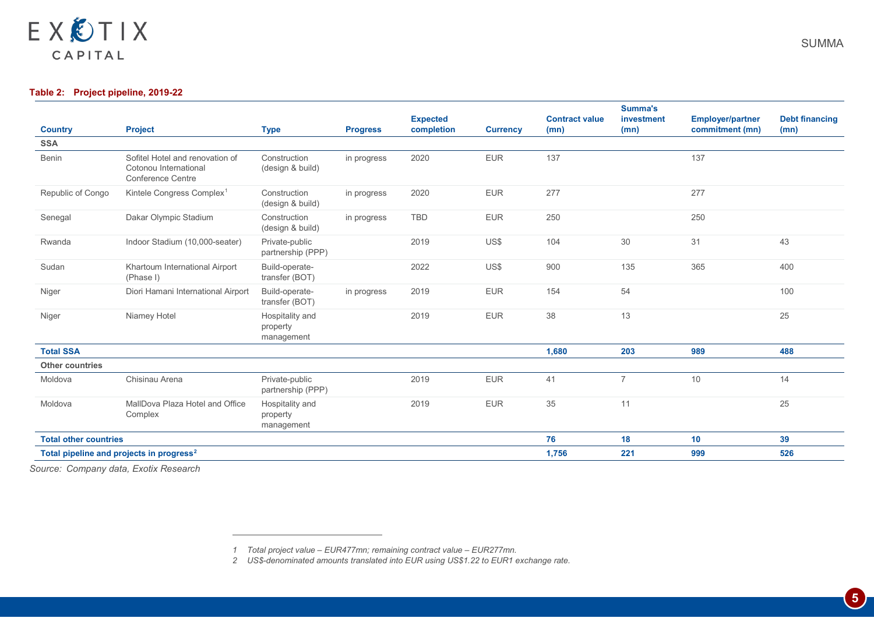<span id="page-4-1"></span><span id="page-4-0"></span>

## **Table 2: Project pipeline, 2019-22**

| <b>Country</b>               | <b>Project</b>                                                                       | <b>Type</b>                               | <b>Progress</b> | <b>Expected</b><br>completion | <b>Currency</b> | <b>Contract value</b><br>(mn) | Summa's<br>investment<br>(mn) | <b>Employer/partner</b><br>commitment (mn) | <b>Debt financing</b><br>(mn) |
|------------------------------|--------------------------------------------------------------------------------------|-------------------------------------------|-----------------|-------------------------------|-----------------|-------------------------------|-------------------------------|--------------------------------------------|-------------------------------|
| <b>SSA</b>                   |                                                                                      |                                           |                 |                               |                 |                               |                               |                                            |                               |
| <b>Benin</b>                 | Sofitel Hotel and renovation of<br>Cotonou International<br><b>Conference Centre</b> | Construction<br>(design & build)          | in progress     | 2020                          | <b>EUR</b>      | 137                           |                               | 137                                        |                               |
| Republic of Congo            | Kintele Congress Complex <sup>1</sup>                                                | Construction<br>(design & build)          | in progress     | 2020                          | <b>EUR</b>      | 277                           |                               | 277                                        |                               |
| Senegal                      | Dakar Olympic Stadium                                                                | Construction<br>(design & build)          | in progress     | <b>TBD</b>                    | <b>EUR</b>      | 250                           |                               | 250                                        |                               |
| Rwanda                       | Indoor Stadium (10,000-seater)                                                       | Private-public<br>partnership (PPP)       |                 | 2019                          | US\$            | 104                           | 30                            | 31                                         | 43                            |
| Sudan                        | Khartoum International Airport<br>(Phase I)                                          | Build-operate-<br>transfer (BOT)          |                 | 2022                          | US\$            | 900                           | 135                           | 365                                        | 400                           |
| Niger                        | Diori Hamani International Airport                                                   | Build-operate-<br>transfer (BOT)          | in progress     | 2019                          | <b>EUR</b>      | 154                           | 54                            |                                            | 100                           |
| Niger                        | Niamey Hotel                                                                         | Hospitality and<br>property<br>management |                 | 2019                          | <b>EUR</b>      | 38                            | 13                            |                                            | 25                            |
| <b>Total SSA</b>             |                                                                                      |                                           |                 |                               |                 | 1,680                         | 203                           | 989                                        | 488                           |
| <b>Other countries</b>       |                                                                                      |                                           |                 |                               |                 |                               |                               |                                            |                               |
| Moldova                      | Chisinau Arena                                                                       | Private-public<br>partnership (PPP)       |                 | 2019                          | <b>EUR</b>      | 41                            | $\overline{7}$                | 10                                         | 14                            |
| Moldova                      | MallDova Plaza Hotel and Office<br>Complex                                           | Hospitality and<br>property<br>management |                 | 2019                          | <b>EUR</b>      | 35                            | 11                            |                                            | 25                            |
| <b>Total other countries</b> |                                                                                      |                                           |                 |                               |                 | 76                            | 18                            | 10                                         | 39                            |
|                              | Total pipeline and projects in progress <sup>2</sup>                                 |                                           |                 |                               |                 | 1,756                         | 221                           | 999                                        | 526                           |

*Source: Company data, Exotix Research*

 $\overline{a}$ 

*2 US\$-denominated amounts translated into EUR using US\$1.22 to EUR1 exchange rate.*

*<sup>1</sup> Total project value – EUR477mn; remaining contract value – EUR277mn.*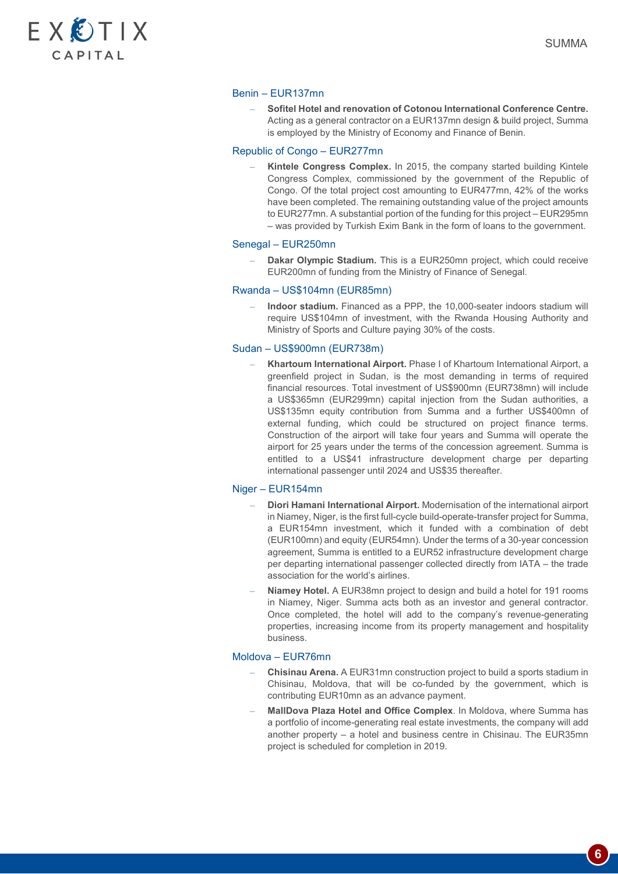

#### Benin – EUR137mn

– **Sofitel Hotel and renovation of Cotonou International Conference Centre.**  Acting as a general contractor on a EUR137mn design & build project, Summa is employed by the Ministry of Economy and Finance of Benin.

#### Republic of Congo – EUR277mn

– **Kintele Congress Complex.** In 2015, the company started building Kintele Congress Complex, commissioned by the government of the Republic of Congo. Of the total project cost amounting to EUR477mn, 42% of the works have been completed. The remaining outstanding value of the project amounts to EUR277mn. A substantial portion of the funding for this project – EUR295mn – was provided by Turkish Exim Bank in the form of loans to the government.

#### Senegal – EUR250mn

– **Dakar Olympic Stadium.** This is a EUR250mn project, which could receive EUR200mn of funding from the Ministry of Finance of Senegal.

#### Rwanda – US\$104mn (EUR85mn)

– **Indoor stadium.** Financed as a PPP, the 10,000-seater indoors stadium will require US\$104mn of investment, with the Rwanda Housing Authority and Ministry of Sports and Culture paying 30% of the costs.

#### Sudan – US\$900mn (EUR738m)

– **Khartoum International Airport.** Phase I of Khartoum International Airport, a greenfield project in Sudan, is the most demanding in terms of required financial resources. Total investment of US\$900mn (EUR738mn) will include a US\$365mn (EUR299mn) capital injection from the Sudan authorities, a US\$135mn equity contribution from Summa and a further US\$400mn of external funding, which could be structured on project finance terms. Construction of the airport will take four years and Summa will operate the airport for 25 years under the terms of the concession agreement. Summa is entitled to a US\$41 infrastructure development charge per departing international passenger until 2024 and US\$35 thereafter.

#### Niger – EUR154mn

- **Diori Hamani International Airport.** Modernisation of the international airport in Niamey, Niger, is the first full-cycle build-operate-transfer project for Summa, a EUR154mn investment, which it funded with a combination of debt (EUR100mn) and equity (EUR54mn). Under the terms of a 30-year concession agreement, Summa is entitled to a EUR52 infrastructure development charge per departing international passenger collected directly from IATA – the trade association for the world's airlines.
- **Niamey Hotel.** A EUR38mn project to design and build a hotel for 191 rooms in Niamey, Niger. Summa acts both as an investor and general contractor. Once completed, the hotel will add to the company's revenue-generating properties, increasing income from its property management and hospitality business.

#### Moldova – EUR76mn

- **Chisinau Arena.** A EUR31mn construction project to build a sports stadium in Chisinau, Moldova, that will be co-funded by the government, which is contributing EUR10mn as an advance payment.
- **MallDova Plaza Hotel and Office Complex**. In Moldova, where Summa has a portfolio of income-generating real estate investments, the company will add another property – a hotel and business centre in Chisinau. The EUR35mn project is scheduled for completion in 2019.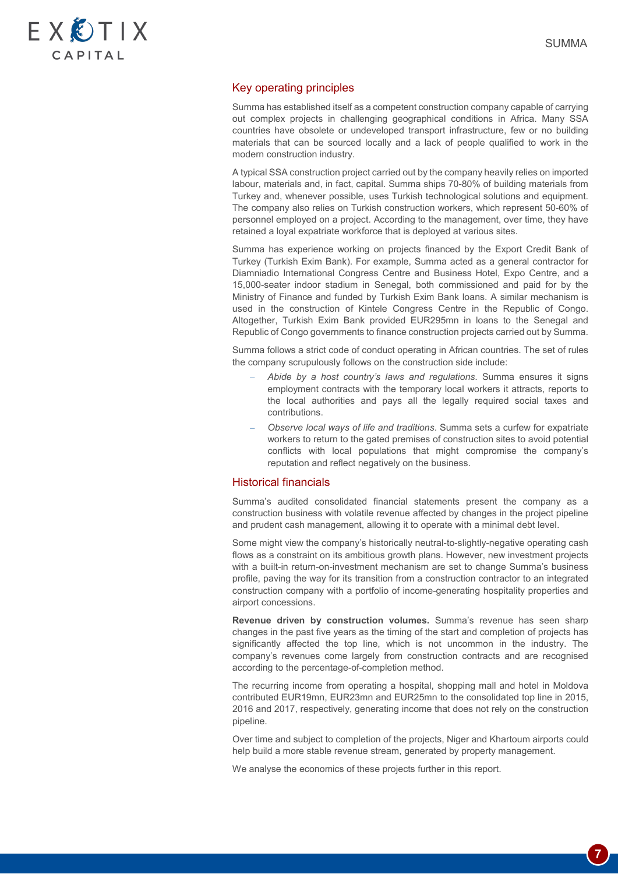

**7**

### Key operating principles

Summa has established itself as a competent construction company capable of carrying out complex projects in challenging geographical conditions in Africa. Many SSA countries have obsolete or undeveloped transport infrastructure, few or no building materials that can be sourced locally and a lack of people qualified to work in the modern construction industry.

A typical SSA construction project carried out by the company heavily relies on imported labour, materials and, in fact, capital. Summa ships 70-80% of building materials from Turkey and, whenever possible, uses Turkish technological solutions and equipment. The company also relies on Turkish construction workers, which represent 50-60% of personnel employed on a project. According to the management, over time, they have retained a loyal expatriate workforce that is deployed at various sites.

Summa has experience working on projects financed by the Export Credit Bank of Turkey (Turkish Exim Bank). For example, Summa acted as a general contractor for Diamniadio International Congress Centre and Business Hotel, Expo Centre, and a 15,000-seater indoor stadium in Senegal, both commissioned and paid for by the Ministry of Finance and funded by Turkish Exim Bank loans. A similar mechanism is used in the construction of Kintele Congress Centre in the Republic of Congo. Altogether, Turkish Exim Bank provided EUR295mn in loans to the Senegal and Republic of Congo governments to finance construction projects carried out by Summa.

Summa follows a strict code of conduct operating in African countries. The set of rules the company scrupulously follows on the construction side include:

- *Abide by a host country's laws and regulations*. Summa ensures it signs employment contracts with the temporary local workers it attracts, reports to the local authorities and pays all the legally required social taxes and contributions.
- *Observe local ways of life and traditions*. Summa sets a curfew for expatriate workers to return to the gated premises of construction sites to avoid potential conflicts with local populations that might compromise the company's reputation and reflect negatively on the business.

#### Historical financials

Summa's audited consolidated financial statements present the company as a construction business with volatile revenue affected by changes in the project pipeline and prudent cash management, allowing it to operate with a minimal debt level.

Some might view the company's historically neutral-to-slightly-negative operating cash flows as a constraint on its ambitious growth plans. However, new investment projects with a built-in return-on-investment mechanism are set to change Summa's business profile, paving the way for its transition from a construction contractor to an integrated construction company with a portfolio of income-generating hospitality properties and airport concessions.

**Revenue driven by construction volumes.** Summa's revenue has seen sharp changes in the past five years as the timing of the start and completion of projects has significantly affected the top line, which is not uncommon in the industry. The company's revenues come largely from construction contracts and are recognised according to the percentage-of-completion method.

The recurring income from operating a hospital, shopping mall and hotel in Moldova contributed EUR19mn, EUR23mn and EUR25mn to the consolidated top line in 2015, 2016 and 2017, respectively, generating income that does not rely on the construction pipeline.

Over time and subject to completion of the projects, Niger and Khartoum airports could help build a more stable revenue stream, generated by property management.

We analyse the economics of these projects further in this report.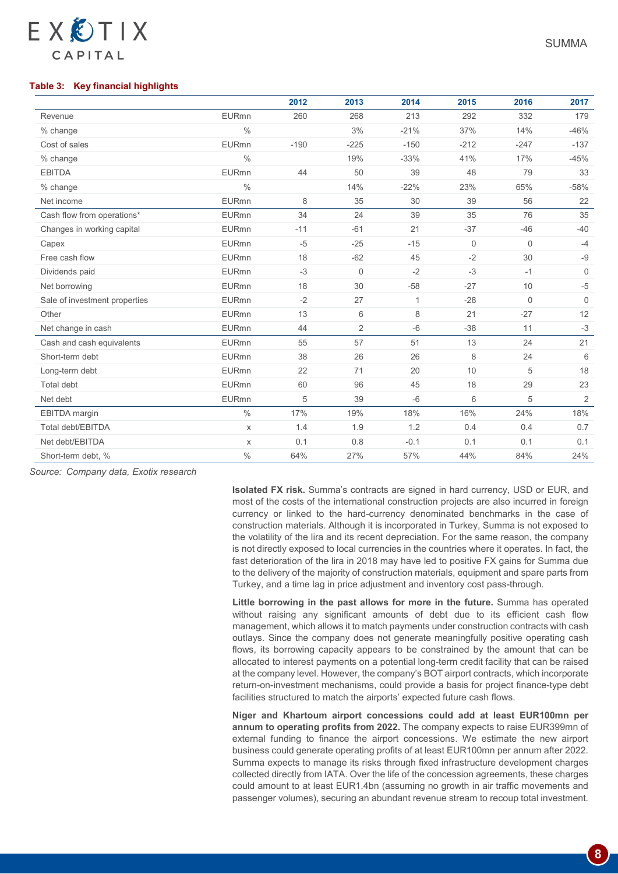### **Table 3: Key financial highlights**

EXETIX

CAPITAL

|                               |               | 2012   | 2013        | 2014   | 2015        | 2016        | 2017         |
|-------------------------------|---------------|--------|-------------|--------|-------------|-------------|--------------|
| Revenue                       | <b>EURmn</b>  | 260    | 268         | 213    | 292         | 332         | 179          |
| % change                      | $\frac{0}{0}$ |        | 3%          | $-21%$ | 37%         | 14%         | $-46%$       |
| Cost of sales                 | <b>EURmn</b>  | $-190$ | $-225$      | $-150$ | $-212$      | $-247$      | $-137$       |
| % change                      | $\frac{0}{0}$ |        | 19%         | $-33%$ | 41%         | 17%         | $-45%$       |
| <b>EBITDA</b>                 | <b>EURmn</b>  | 44     | 50          | 39     | 48          | 79          | 33           |
| % change                      | $\frac{0}{0}$ |        | 14%         | $-22%$ | 23%         | 65%         | $-58%$       |
| Net income                    | <b>EURmn</b>  | 8      | 35          | 30     | 39          | 56          | 22           |
| Cash flow from operations*    | <b>EURmn</b>  | 34     | 24          | 39     | 35          | 76          | 35           |
| Changes in working capital    | <b>EURmn</b>  | $-11$  | $-61$       | 21     | $-37$       | $-46$       | $-40$        |
| Capex                         | <b>EURmn</b>  | $-5$   | $-25$       | $-15$  | $\mathbf 0$ | $\mathbf 0$ | $-4$         |
| Free cash flow                | <b>EURmn</b>  | 18     | $-62$       | 45     | $-2$        | 30          | $-9$         |
| Dividends paid                | <b>EURmn</b>  | $-3$   | $\mathbf 0$ | $-2$   | $-3$        | $-1$        | $\mathbf{0}$ |
| Net borrowing                 | <b>EURmn</b>  | 18     | 30          | $-58$  | $-27$       | 10          | $-5$         |
| Sale of investment properties | <b>EURmn</b>  | $-2$   | 27          | 1      | $-28$       | $\Omega$    | $\Omega$     |
| Other                         | <b>EURmn</b>  | 13     | 6           | 8      | 21          | $-27$       | 12           |
| Net change in cash            | <b>EURmn</b>  | 44     | 2           | $-6$   | $-38$       | 11          | $-3$         |
| Cash and cash equivalents     | <b>EURmn</b>  | 55     | 57          | 51     | 13          | 24          | 21           |
| Short-term debt               | <b>EURmn</b>  | 38     | 26          | 26     | 8           | 24          | 6            |
| Long-term debt                | <b>EURmn</b>  | 22     | 71          | 20     | 10          | 5           | 18           |
| Total debt                    | <b>EURmn</b>  | 60     | 96          | 45     | 18          | 29          | 23           |
| Net debt                      | <b>EURmn</b>  | 5      | 39          | $-6$   | 6           | 5           | $\mathbf{2}$ |
| <b>EBITDA</b> margin          | $\frac{0}{0}$ | 17%    | 19%         | 18%    | 16%         | 24%         | 18%          |
| Total debt/EBITDA             | $\mathsf{X}$  | 1.4    | 1.9         | 1.2    | 0.4         | 0.4         | 0.7          |
| Net debt/EBITDA               | X             | 0.1    | 0.8         | $-0.1$ | 0.1         | 0.1         | 0.1          |
| Short-term debt, %            | $\%$          | 64%    | 27%         | 57%    | 44%         | 84%         | 24%          |

*Source: Company data, Exotix research*

**Isolated FX risk.** Summa's contracts are signed in hard currency, USD or EUR, and most of the costs of the international construction projects are also incurred in foreign currency or linked to the hard-currency denominated benchmarks in the case of construction materials. Although it is incorporated in Turkey, Summa is not exposed to the volatility of the lira and its recent depreciation. For the same reason, the company is not directly exposed to local currencies in the countries where it operates. In fact, the fast deterioration of the lira in 2018 may have led to positive FX gains for Summa due to the delivery of the majority of construction materials, equipment and spare parts from Turkey, and a time lag in price adjustment and inventory cost pass-through.

**Little borrowing in the past allows for more in the future.** Summa has operated without raising any significant amounts of debt due to its efficient cash flow management, which allows it to match payments under construction contracts with cash outlays. Since the company does not generate meaningfully positive operating cash flows, its borrowing capacity appears to be constrained by the amount that can be allocated to interest payments on a potential long-term credit facility that can be raised at the company level. However, the company's BOT airport contracts, which incorporate return-on-investment mechanisms, could provide a basis for project finance-type debt facilities structured to match the airports' expected future cash flows.

**Niger and Khartoum airport concessions could add at least EUR100mn per annum to operating profits from 2022.** The company expects to raise EUR399mn of external funding to finance the airport concessions. We estimate the new airport business could generate operating profits of at least EUR100mn per annum after 2022. Summa expects to manage its risks through fixed infrastructure development charges collected directly from IATA. Over the life of the concession agreements, these charges could amount to at least EUR1.4bn (assuming no growth in air traffic movements and passenger volumes), securing an abundant revenue stream to recoup total investment.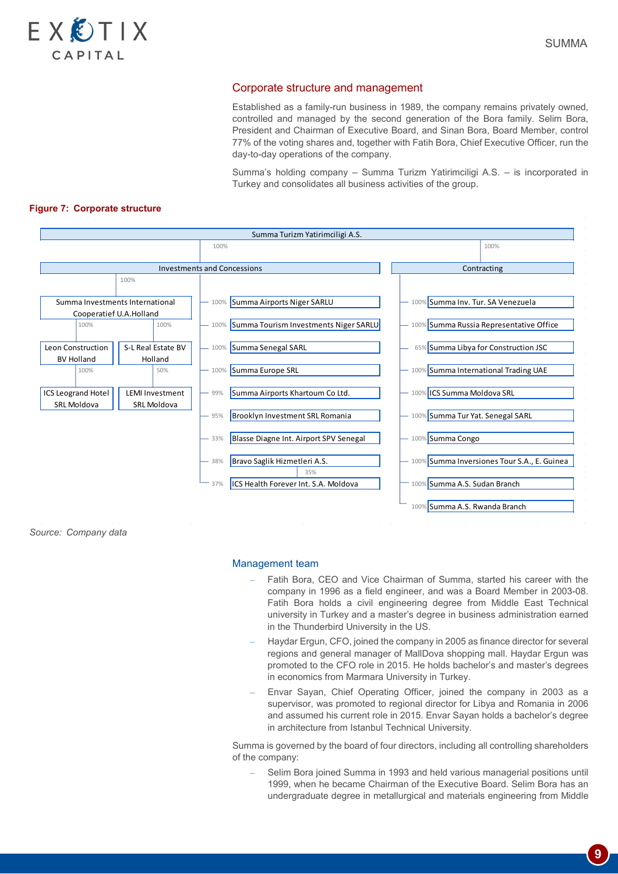

#### Corporate structure and management

Established as a family-run business in 1989, the company remains privately owned, controlled and managed by the second generation of the Bora family. Selim Bora, President and Chairman of Executive Board, and Sinan Bora, Board Member, control 77% of the voting shares and, together with Fatih Bora, Chief Executive Officer, run the day-to-day operations of the company.

Summa's holding company – Summa Turizm Yatirimciligi A.S. – is incorporated in Turkey and consolidates all business activities of the group.

#### **Figure 7: Corporate structure**



*Source: Company data*

#### Management team

- Fatih Bora, CEO and Vice Chairman of Summa, started his career with the company in 1996 as a field engineer, and was a Board Member in 2003-08. Fatih Bora holds a civil engineering degree from Middle East Technical university in Turkey and a master's degree in business administration earned in the Thunderbird University in the US.
- Haydar Ergun, CFO, joined the company in 2005 as finance director for several regions and general manager of MallDova shopping mall. Haydar Ergun was promoted to the CFO role in 2015. He holds bachelor's and master's degrees in economics from Marmara University in Turkey.
- Envar Sayan, Chief Operating Officer, joined the company in 2003 as a supervisor, was promoted to regional director for Libya and Romania in 2006 and assumed his current role in 2015. Envar Sayan holds a bachelor's degree in architecture from Istanbul Technical University.

Summa is governed by the board of four directors, including all controlling shareholders of the company:

– Selim Bora joined Summa in 1993 and held various managerial positions until 1999, when he became Chairman of the Executive Board. Selim Bora has an undergraduate degree in metallurgical and materials engineering from Middle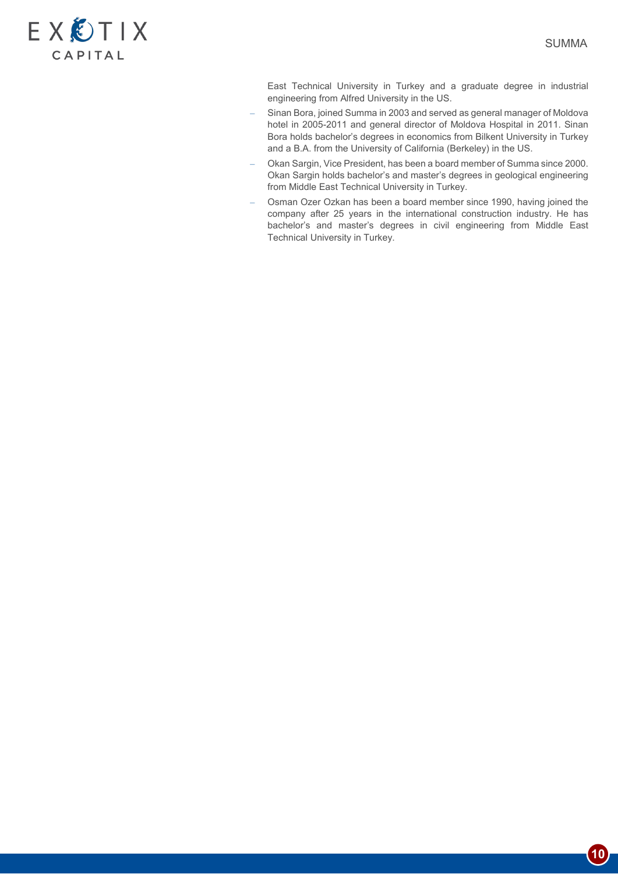

East Technical University in Turkey and a graduate degree in industrial engineering from Alfred University in the US.

- Sinan Bora, joined Summa in 2003 and served as general manager of Moldova hotel in 2005-2011 and general director of Moldova Hospital in 2011. Sinan Bora holds bachelor's degrees in economics from Bilkent University in Turkey and a B.A. from the University of California (Berkeley) in the US.
- Okan Sargin, Vice President, has been a board member of Summa since 2000. Okan Sargin holds bachelor's and master's degrees in geological engineering from Middle East Technical University in Turkey.
- Osman Ozer Ozkan has been a board member since 1990, having joined the company after 25 years in the international construction industry. He has bachelor's and master's degrees in civil engineering from Middle East Technical University in Turkey.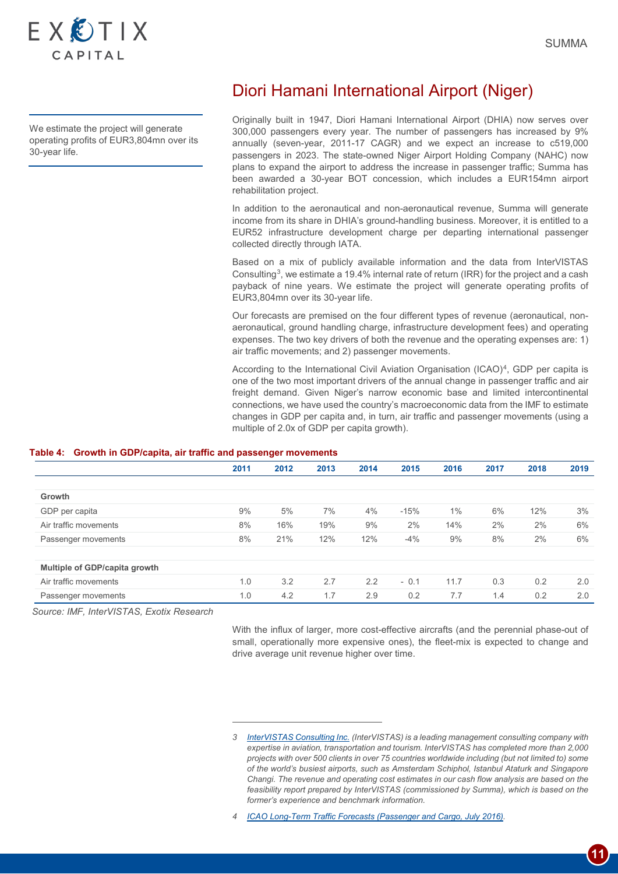

We estimate the project will generate operating profits of EUR3,804mn over its 30-year life.

# Diori Hamani International Airport (Niger)

Originally built in 1947, Diori Hamani International Airport (DHIA) now serves over 300,000 passengers every year. The number of passengers has increased by 9% annually (seven-year, 2011-17 CAGR) and we expect an increase to c519,000 passengers in 2023. The state-owned Niger Airport Holding Company (NAHC) now plans to expand the airport to address the increase in passenger traffic; Summa has been awarded a 30-year BOT concession, which includes a EUR154mn airport rehabilitation project.

In addition to the aeronautical and non-aeronautical revenue, Summa will generate income from its share in DHIA's ground-handling business. Moreover, it is entitled to a EUR52 infrastructure development charge per departing international passenger collected directly through IATA.

Based on a mix of publicly available information and the data from InterVISTAS Consulting[3](#page-10-0), we estimate a 19.4% internal rate of return (IRR) for the project and a cash payback of nine years. We estimate the project will generate operating profits of EUR3,804mn over its 30-year life.

Our forecasts are premised on the four different types of revenue (aeronautical, nonaeronautical, ground handling charge, infrastructure development fees) and operating expenses. The two key drivers of both the revenue and the operating expenses are: 1) air traffic movements; and 2) passenger movements.

According to the International Civil Aviation Organisation (ICAO)<sup>[4](#page-10-1)</sup>, GDP per capita is one of the two most important drivers of the annual change in passenger traffic and air freight demand. Given Niger's narrow economic base and limited intercontinental connections, we have used the country's macroeconomic data from the IMF to estimate changes in GDP per capita and, in turn, air traffic and passenger movements (using a multiple of 2.0x of GDP per capita growth).

#### **Table 4: Growth in GDP/capita, air traffic and passenger movements**

-

|                               | 2011 | 2012 | 2013 | 2014 | 2015   | 2016  | 2017 | 2018 | 2019 |
|-------------------------------|------|------|------|------|--------|-------|------|------|------|
|                               |      |      |      |      |        |       |      |      |      |
| Growth                        |      |      |      |      |        |       |      |      |      |
| GDP per capita                | 9%   | 5%   | 7%   | 4%   | $-15%$ | $1\%$ | 6%   | 12%  | 3%   |
| Air traffic movements         | 8%   | 16%  | 19%  | 9%   | 2%     | 14%   | 2%   | 2%   | 6%   |
| Passenger movements           | 8%   | 21%  | 12%  | 12%  | $-4%$  | 9%    | 8%   | 2%   | 6%   |
|                               |      |      |      |      |        |       |      |      |      |
| Multiple of GDP/capita growth |      |      |      |      |        |       |      |      |      |
| Air traffic movements         | 1.0  | 3.2  | 2.7  | 2.2  | $-0.1$ | 11.7  | 0.3  | 0.2  | 2.0  |
| Passenger movements           | 1.0  | 4.2  | 1.7  | 2.9  | 0.2    | 7.7   | 1.4  | 0.2  | 2.0  |

<span id="page-10-1"></span><span id="page-10-0"></span>*Source: IMF, InterVISTAS, Exotix Research*

With the influx of larger, more cost-effective aircrafts (and the perennial phase-out of small, operationally more expensive ones), the fleet-mix is expected to change and drive average unit revenue higher over time.

*<sup>3</sup> [InterVISTAS Consulting Inc.](http://www.intervistas.com/) (InterVISTAS) is a leading management consulting company with expertise in aviation, transportation and tourism. InterVISTAS has completed more than 2,000 projects with over 500 clients in over 75 countries worldwide including (but not limited to) some of the world's busiest airports, such as Amsterdam Schiphol, Istanbul Ataturk and Singapore Changi. The revenue and operating cost estimates in our cash flow analysis are based on the*  feasibility report prepared by InterVISTAS (commissioned by Summa), which is based on the *former's experience and benchmark information.* 

*<sup>4</sup> [ICAO Long-Term Traffic Forecasts \(Passenger and Cargo, July 2016\).](https://www.icao.int/safety/ngap/NGAP8%20Presentations/ICAO-Long-Term-Traffic-Forecasts-July-2016.pdf)*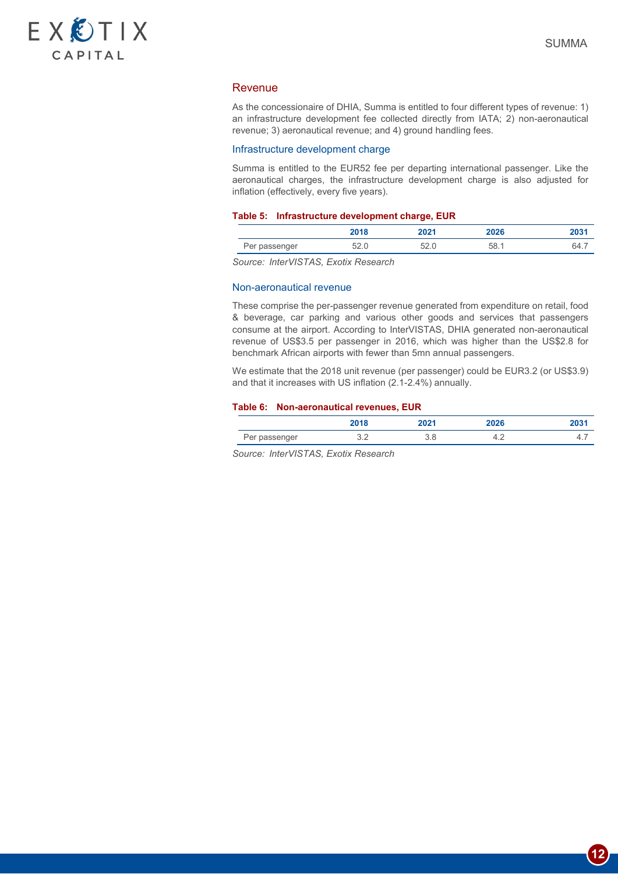

### Revenue

As the concessionaire of DHIA, Summa is entitled to four different types of revenue: 1) an infrastructure development fee collected directly from IATA; 2) non-aeronautical revenue; 3) aeronautical revenue; and 4) ground handling fees.

#### Infrastructure development charge

Summa is entitled to the EUR52 fee per departing international passenger. Like the aeronautical charges, the infrastructure development charge is also adjusted for inflation (effectively, every five years).

#### **Table 5: Infrastructure development charge, EUR**

|               | 2018 | つのつり | 2026 | wu    |
|---------------|------|------|------|-------|
| Per passenger | ∪∠.∪ | しとい  | 58.1 | 64. . |

*Source: InterVISTAS, Exotix Research*

#### Non-aeronautical revenue

These comprise the per-passenger revenue generated from expenditure on retail, food & beverage, car parking and various other goods and services that passengers consume at the airport. According to InterVISTAS, DHIA generated non-aeronautical revenue of US\$3.5 per passenger in 2016, which was higher than the US\$2.8 for benchmark African airports with fewer than 5mn annual passengers.

We estimate that the 2018 unit revenue (per passenger) could be EUR3.2 (or US\$3.9) and that it increases with US inflation (2.1-2.4%) annually.

#### **Table 6: Non-aeronautical revenues, EUR**

|               | 2018                 | 2021 | 2026  | 203    |
|---------------|----------------------|------|-------|--------|
| Per passenger | $\sim$ $\sim$<br>◡.∠ | U.U  | т. д. | ∸<br>. |

*Source: InterVISTAS, Exotix Research*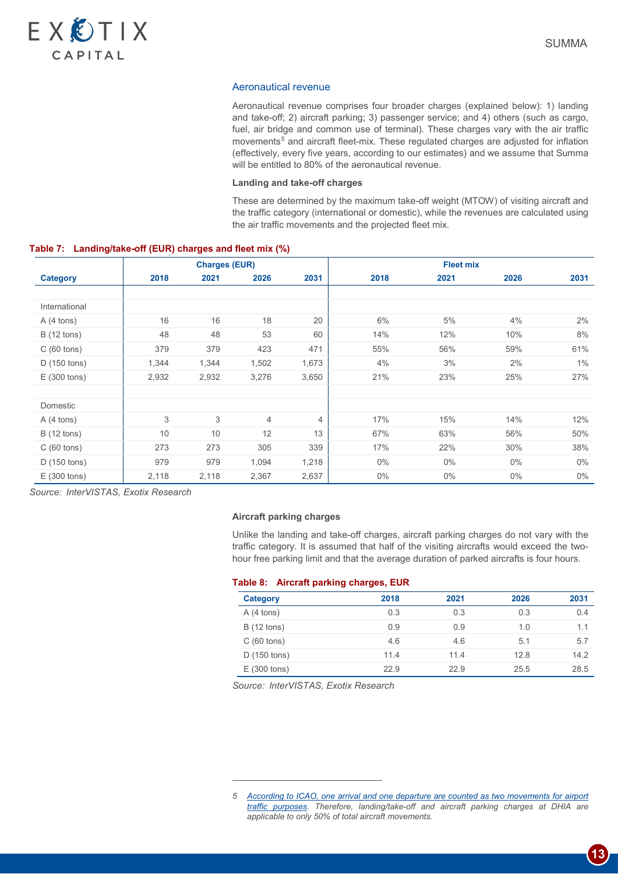

#### Aeronautical revenue

Aeronautical revenue comprises four broader charges (explained below): 1) landing and take-off; 2) aircraft parking; 3) passenger service; and 4) others (such as cargo, fuel, air bridge and common use of terminal). These charges vary with the air traffic movements<sup>[5](#page-12-0)</sup> and aircraft fleet-mix. These regulated charges are adjusted for inflation (effectively, every five years, according to our estimates) and we assume that Summa will be entitled to 80% of the aeronautical revenue.

#### **Landing and take-off charges**

These are determined by the maximum take-off weight (MTOW) of visiting aircraft and the traffic category (international or domestic), while the revenues are calculated using the air traffic movements and the projected fleet mix.

#### **Table 7: Landing/take-off (EUR) charges and fleet mix (%)**

|                      |       | <b>Charges (EUR)</b> |                |       | <b>Fleet mix</b> |       |       |       |
|----------------------|-------|----------------------|----------------|-------|------------------|-------|-------|-------|
| <b>Category</b>      | 2018  | 2021                 | 2026           | 2031  | 2018             | 2021  | 2026  | 2031  |
|                      |       |                      |                |       |                  |       |       |       |
| International        |       |                      |                |       |                  |       |       |       |
| $A(4 \text{ tons})$  | 16    | 16                   | 18             | 20    | 6%               | 5%    | 4%    | 2%    |
| <b>B</b> (12 tons)   | 48    | 48                   | 53             | 60    | 14%              | 12%   | 10%   | 8%    |
| $C(60 \text{ tons})$ | 379   | 379                  | 423            | 471   | 55%              | 56%   | 59%   | 61%   |
| D(150 tons)          | 1,344 | 1,344                | 1,502          | 1,673 | 4%               | 3%    | 2%    | 1%    |
| E(300 tons)          | 2,932 | 2,932                | 3,276          | 3,650 | 21%              | 23%   | 25%   | 27%   |
|                      |       |                      |                |       |                  |       |       |       |
| Domestic             |       |                      |                |       |                  |       |       |       |
| $A(4 \text{ tons})$  | 3     | 3                    | $\overline{4}$ | 4     | 17%              | 15%   | 14%   | 12%   |
| <b>B</b> (12 tons)   | 10    | 10                   | 12             | 13    | 67%              | 63%   | 56%   | 50%   |
| C(60 tons)           | 273   | 273                  | 305            | 339   | 17%              | 22%   | 30%   | 38%   |
| D (150 tons)         | 979   | 979                  | 1,094          | 1,218 | $0\%$            | $0\%$ | $0\%$ | $0\%$ |
| E(300 tons)          | 2,118 | 2,118                | 2,367          | 2,637 | $0\%$            | $0\%$ | $0\%$ | $0\%$ |

*Source: InterVISTAS, Exotix Research*

### **Aircraft parking charges**

Unlike the landing and take-off charges, aircraft parking charges do not vary with the traffic category. It is assumed that half of the visiting aircrafts would exceed the twohour free parking limit and that the average duration of parked aircrafts is four hours.

#### **Table 8: Aircraft parking charges, EUR**

| <b>Category</b>       | 2018 | 2021 | 2026 | 2031 |
|-----------------------|------|------|------|------|
| $A(4 \text{ tons})$   | 0.3  | 0.3  | 0.3  | 0.4  |
| <b>B</b> (12 tons)    | 0.9  | 0.9  | 1.0  | 1.1  |
| $C(60 \text{ tons})$  | 4.6  | 4.6  | 5.1  | 5.7  |
| $D(150 \text{ tons})$ | 11.4 | 11.4 | 12.8 | 14.2 |
| E(300 tons)           | 22.9 | 22.9 | 25.5 | 28.5 |

*Source: InterVISTAS, Exotix Research*

-

<span id="page-12-0"></span>*<sup>5</sup> [According to ICAO, one arrival and one departure are counted as two movements for airport](https://www.icao.int/dataplus_archive/documents/glossary.docx)  [traffic purposes.](https://www.icao.int/dataplus_archive/documents/glossary.docx) Therefore, landing/take-off and aircraft parking charges at DHIA are applicable to only 50% of total aircraft movements.*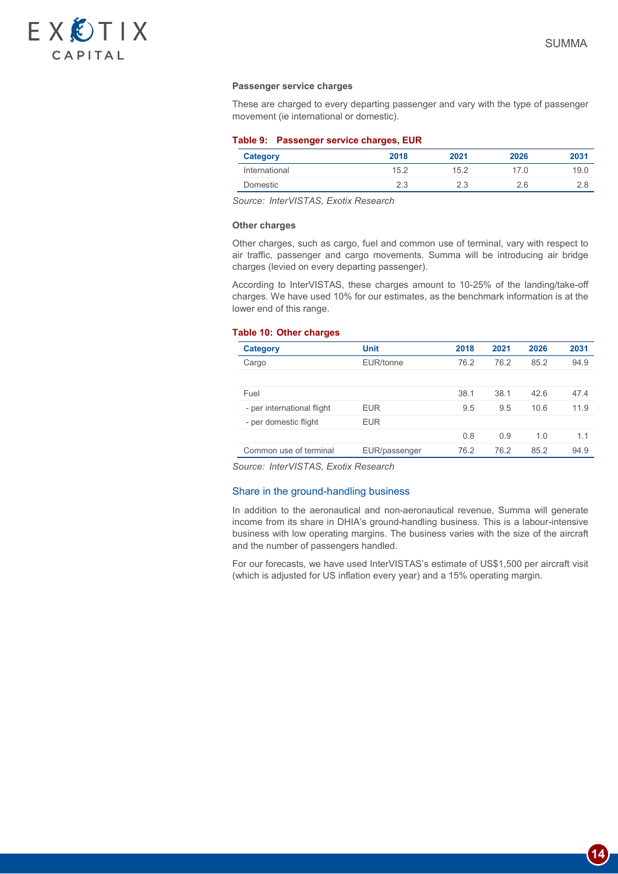

**14**

#### **Passenger service charges**

These are charged to every departing passenger and vary with the type of passenger movement (ie international or domestic).

#### **Table 9: Passenger service charges, EUR**

| Category      | 2018 | 2021 | 2026 | 2031 |
|---------------|------|------|------|------|
| International | 15.2 | 15.2 | 17.0 | 19.0 |
| Domestic      | 2.3  |      | 2.6  |      |

*Source: InterVISTAS, Exotix Research*

#### **Other charges**

Other charges, such as cargo, fuel and common use of terminal, vary with respect to air traffic, passenger and cargo movements. Summa will be introducing air bridge charges (levied on every departing passenger).

According to InterVISTAS, these charges amount to 10-25% of the landing/take-off charges. We have used 10% for our estimates, as the benchmark information is at the lower end of this range.

#### **Table 10: Other charges**

| Category                   | <b>Unit</b>   | 2018 | 2021 | 2026 | 2031 |
|----------------------------|---------------|------|------|------|------|
| Cargo                      | EUR/tonne     | 76.2 | 76.2 | 85.2 | 94.9 |
|                            |               |      |      |      |      |
| Fuel                       |               | 38.1 | 38.1 | 42.6 | 47.4 |
| - per international flight | <b>EUR</b>    | 9.5  | 9.5  | 10.6 | 11.9 |
| - per domestic flight      | <b>EUR</b>    |      |      |      |      |
|                            |               | 0.8  | 0.9  | 1.0  | 1.1  |
| Common use of terminal     | EUR/passenger | 76.2 | 76.2 | 85.2 | 94.9 |

*Source: InterVISTAS, Exotix Research*

#### Share in the ground-handling business

In addition to the aeronautical and non-aeronautical revenue, Summa will generate income from its share in DHIA's ground-handling business. This is a labour-intensive business with low operating margins. The business varies with the size of the aircraft and the number of passengers handled.

For our forecasts, we have used InterVISTAS's estimate of US\$1,500 per aircraft visit (which is adjusted for US inflation every year) and a 15% operating margin.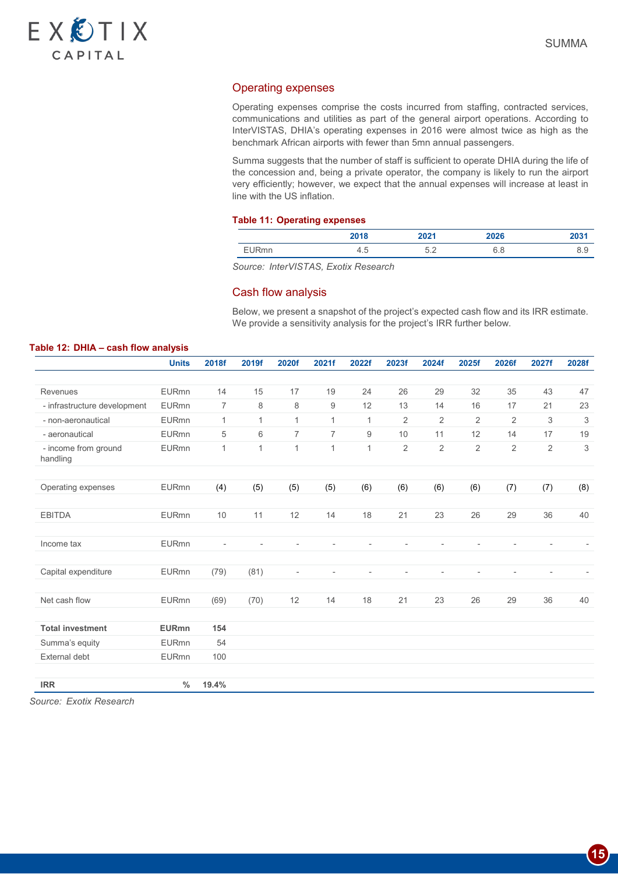

## Operating expenses

Operating expenses comprise the costs incurred from staffing, contracted services, communications and utilities as part of the general airport operations. According to InterVISTAS, DHIA's operating expenses in 2016 were almost twice as high as the benchmark African airports with fewer than 5mn annual passengers.

Summa suggests that the number of staff is sufficient to operate DHIA during the life of the concession and, being a private operator, the company is likely to run the airport very efficiently; however, we expect that the annual expenses will increase at least in line with the US inflation.

#### **Table 11: Operating expenses**

|              | 2018 | 2021      | 2026              | 2031 |
|--------------|------|-----------|-------------------|------|
| <b>EURmn</b> | ש. + | につ<br>◡.∠ | $\epsilon$<br>u.u | ◡.◡  |

*Source: InterVISTAS, Exotix Research*

#### Cash flow analysis

Below, we present a snapshot of the project's expected cash flow and its IRR estimate. We provide a sensitivity analysis for the project's IRR further below.

#### **Table 12: DHIA – cash flow analysis**

|                                  | <b>Units</b> | 2018f                    | 2019f                    | 2020f                    | 2021f          | 2022f                    | 2023f          | 2024f                    | 2025f          | 2026f          | 2027f                    | 2028f |
|----------------------------------|--------------|--------------------------|--------------------------|--------------------------|----------------|--------------------------|----------------|--------------------------|----------------|----------------|--------------------------|-------|
|                                  |              |                          |                          |                          |                |                          |                |                          |                |                |                          |       |
| Revenues                         | <b>EURmn</b> | 14                       | 15                       | 17                       | 19             | 24                       | 26             | 29                       | 32             | 35             | 43                       | 47    |
| - infrastructure development     | <b>EURmn</b> | $\overline{7}$           | 8                        | 8                        | 9              | 12                       | 13             | 14                       | 16             | 17             | 21                       | 23    |
| - non-aeronautical               | <b>EURmn</b> | $\mathbf{1}$             | $\mathbf{1}$             | $\mathbf{1}$             | $\mathbf{1}$   | $\mathbf{1}$             | $\overline{2}$ | $\overline{2}$           | 2              | 2              | 3                        | 3     |
| - aeronautical                   | <b>EURmn</b> | 5                        | 6                        | $\overline{7}$           | $\overline{7}$ | 9                        | 10             | 11                       | 12             | 14             | 17                       | 19    |
| - income from ground<br>handling | <b>EURmn</b> | $\mathbf{1}$             | $\mathbf{1}$             | $\mathbf{1}$             | $\mathbf{1}$   | $\mathbf{1}$             | $\overline{2}$ | $\overline{2}$           | $\overline{2}$ | $\overline{2}$ | $\overline{2}$           | 3     |
|                                  |              |                          |                          |                          |                |                          |                |                          |                |                |                          |       |
| Operating expenses               | <b>EURmn</b> | (4)                      | (5)                      | (5)                      | (5)            | (6)                      | (6)            | (6)                      | (6)            | (7)            | (7)                      | (8)   |
|                                  |              |                          |                          |                          |                |                          |                |                          |                |                |                          |       |
| <b>EBITDA</b>                    | <b>EURmn</b> | 10                       | 11                       | 12                       | 14             | 18                       | 21             | 23                       | 26             | 29             | 36                       | 40    |
|                                  |              |                          |                          |                          |                |                          |                |                          |                |                |                          |       |
| Income tax                       | <b>EURmn</b> | $\overline{\phantom{a}}$ | $\overline{\phantom{a}}$ |                          |                | $\overline{\phantom{a}}$ |                | $\overline{\phantom{a}}$ |                |                | $\overline{\phantom{a}}$ |       |
|                                  |              |                          |                          |                          |                |                          |                |                          |                |                |                          |       |
| Capital expenditure              | <b>EURmn</b> | (79)                     | (81)                     | $\overline{\phantom{a}}$ | $\overline{a}$ | $\overline{a}$           |                |                          |                |                |                          |       |
|                                  |              |                          |                          |                          |                |                          |                |                          |                |                |                          |       |
| Net cash flow                    | <b>EURmn</b> | (69)                     | (70)                     | 12                       | 14             | 18                       | 21             | 23                       | 26             | 29             | 36                       | 40    |
|                                  |              |                          |                          |                          |                |                          |                |                          |                |                |                          |       |
| <b>Total investment</b>          | <b>EURmn</b> | 154                      |                          |                          |                |                          |                |                          |                |                |                          |       |
| Summa's equity                   | <b>EURmn</b> | 54                       |                          |                          |                |                          |                |                          |                |                |                          |       |
| <b>External debt</b>             | <b>EURmn</b> | 100                      |                          |                          |                |                          |                |                          |                |                |                          |       |
| <b>IRR</b>                       | $\%$         | 19.4%                    |                          |                          |                |                          |                |                          |                |                |                          |       |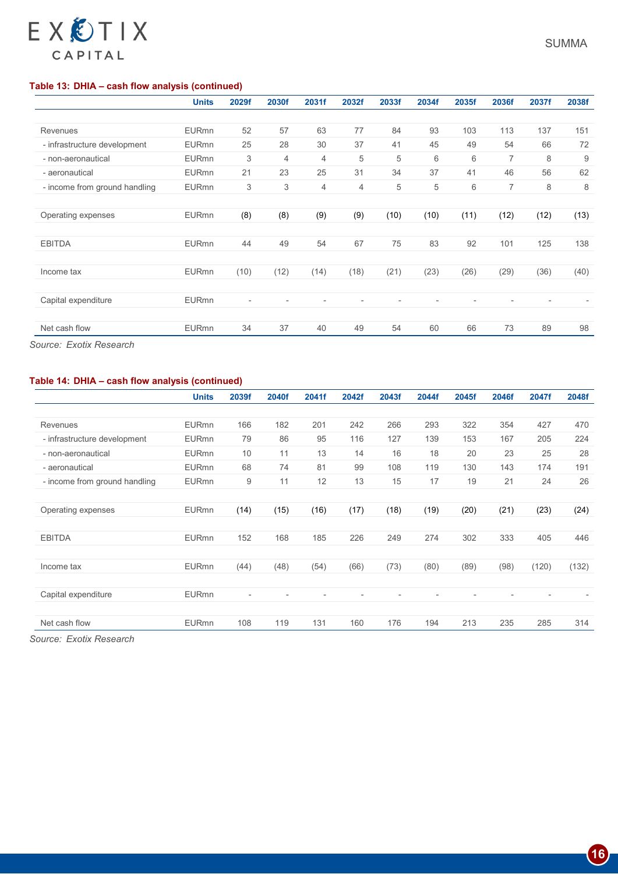# **Table 13: DHIA – cash flow analysis (continued)**

EXÔTIX

CAPITAL

|                               | <b>Units</b> | 2029f | 2030f | 2031f          | 2032f          | 2033f | 2034f | 2035f | 2036f | 2037f | 2038f |
|-------------------------------|--------------|-------|-------|----------------|----------------|-------|-------|-------|-------|-------|-------|
|                               |              |       |       |                |                |       |       |       |       |       |       |
| <b>Revenues</b>               | <b>EURmn</b> | 52    | 57    | 63             | 77             | 84    | 93    | 103   | 113   | 137   | 151   |
| - infrastructure development  | <b>EURmn</b> | 25    | 28    | 30             | 37             | 41    | 45    | 49    | 54    | 66    | 72    |
| - non-aeronautical            | <b>EURmn</b> | 3     | 4     | $\overline{4}$ | 5              | 5     | 6     | 6     | 7     | 8     | 9     |
| - aeronautical                | <b>EURmn</b> | 21    | 23    | 25             | 31             | 34    | 37    | 41    | 46    | 56    | 62    |
| - income from ground handling | <b>EURmn</b> | 3     | 3     | $\overline{4}$ | $\overline{4}$ | 5     | 5     | 6     | 7     | 8     | 8     |
|                               |              |       |       |                |                |       |       |       |       |       |       |
| Operating expenses            | <b>EURmn</b> | (8)   | (8)   | (9)            | (9)            | (10)  | (10)  | (11)  | (12)  | (12)  | (13)  |
|                               |              |       |       |                |                |       |       |       |       |       |       |
| <b>EBITDA</b>                 | <b>EURmn</b> | 44    | 49    | 54             | 67             | 75    | 83    | 92    | 101   | 125   | 138   |
|                               |              |       |       |                |                |       |       |       |       |       |       |
| Income tax                    | <b>EURmn</b> | (10)  | (12)  | (14)           | (18)           | (21)  | (23)  | (26)  | (29)  | (36)  | (40)  |
|                               |              |       |       |                |                |       |       |       |       |       |       |
| Capital expenditure           | <b>EURmn</b> |       |       |                |                |       |       |       |       |       |       |
|                               |              |       |       |                |                |       |       |       |       |       |       |
| Net cash flow                 | <b>EURmn</b> | 34    | 37    | 40             | 49             | 54    | 60    | 66    | 73    | 89    | 98    |

*Source: Exotix Research*

# **Table 14: DHIA – cash flow analysis (continued)**

|                               | <b>Units</b> | 2039f | 2040f | 2041f | 2042f | 2043f | 2044f | 2045f | 2046f | 2047f | 2048f |
|-------------------------------|--------------|-------|-------|-------|-------|-------|-------|-------|-------|-------|-------|
|                               |              |       |       |       |       |       |       |       |       |       |       |
| Revenues                      | <b>EURmn</b> | 166   | 182   | 201   | 242   | 266   | 293   | 322   | 354   | 427   | 470   |
| - infrastructure development  | <b>EURmn</b> | 79    | 86    | 95    | 116   | 127   | 139   | 153   | 167   | 205   | 224   |
| - non-aeronautical            | <b>EURmn</b> | 10    | 11    | 13    | 14    | 16    | 18    | 20    | 23    | 25    | 28    |
| - aeronautical                | <b>EURmn</b> | 68    | 74    | 81    | 99    | 108   | 119   | 130   | 143   | 174   | 191   |
| - income from ground handling | <b>EURmn</b> | 9     | 11    | 12    | 13    | 15    | 17    | 19    | 21    | 24    | 26    |
|                               |              |       |       |       |       |       |       |       |       |       |       |
| Operating expenses            | <b>EURmn</b> | (14)  | (15)  | (16)  | (17)  | (18)  | (19)  | (20)  | (21)  | (23)  | (24)  |
|                               |              |       |       |       |       |       |       |       |       |       |       |
| <b>EBITDA</b>                 | <b>EURmn</b> | 152   | 168   | 185   | 226   | 249   | 274   | 302   | 333   | 405   | 446   |
|                               |              |       |       |       |       |       |       |       |       |       |       |
| Income tax                    | <b>EURmn</b> | (44)  | (48)  | (54)  | (66)  | (73)  | (80)  | (89)  | (98)  | (120) | (132) |
|                               |              |       |       |       |       |       |       |       |       |       |       |
| Capital expenditure           | <b>EURmn</b> |       |       |       |       |       |       |       |       |       |       |
|                               |              |       |       |       |       |       |       |       |       |       |       |
| Net cash flow                 | <b>EURmn</b> | 108   | 119   | 131   | 160   | 176   | 194   | 213   | 235   | 285   | 314   |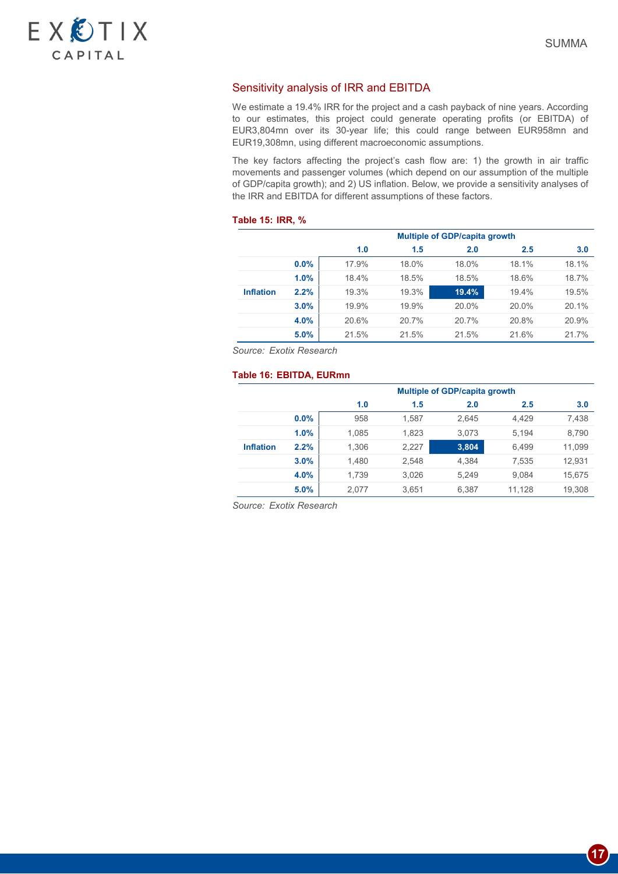

# Sensitivity analysis of IRR and EBITDA

We estimate a 19.4% IRR for the project and a cash payback of nine years. According to our estimates, this project could generate operating profits (or EBITDA) of EUR3,804mn over its 30-year life; this could range between EUR958mn and EUR19,308mn, using different macroeconomic assumptions.

The key factors affecting the project's cash flow are: 1) the growth in air traffic movements and passenger volumes (which depend on our assumption of the multiple of GDP/capita growth); and 2) US inflation. Below, we provide a sensitivity analyses of the IRR and EBITDA for different assumptions of these factors.

#### **Table 15: IRR, %**

|                  |      | <b>Multiple of GDP/capita growth</b> |                   |       |       |       |  |  |  |  |  |  |
|------------------|------|--------------------------------------|-------------------|-------|-------|-------|--|--|--|--|--|--|
|                  |      | 1.0                                  | 1.5<br>2.0<br>2.5 |       |       |       |  |  |  |  |  |  |
|                  | 0.0% | 17.9%                                | 18.0%             | 18.0% | 18.1% | 18.1% |  |  |  |  |  |  |
|                  | 1.0% | 18.4%                                | 18.5%             | 18.5% | 18.6% | 18.7% |  |  |  |  |  |  |
| <b>Inflation</b> | 2.2% | 19.3%                                | 19.3%             | 19.4% | 19.4% | 19.5% |  |  |  |  |  |  |
|                  | 3.0% | 19.9%                                | 19.9%             | 20.0% | 20.0% | 20.1% |  |  |  |  |  |  |
|                  | 4.0% | 20.6%                                | 20.7%             | 20.7% | 20.8% | 20.9% |  |  |  |  |  |  |
|                  | 5.0% | 21.5%                                | 21.5%             | 21.5% | 21.6% | 21.7% |  |  |  |  |  |  |

*Source: Exotix Research*

### **Table 16: EBITDA, EURmn**

|                  |      | <b>Multiple of GDP/capita growth</b> |                   |       |        |        |  |  |  |  |  |  |
|------------------|------|--------------------------------------|-------------------|-------|--------|--------|--|--|--|--|--|--|
|                  |      | 1.0                                  | 2.0<br>1.5<br>2.5 |       |        |        |  |  |  |  |  |  |
|                  | 0.0% | 958                                  | 1.587             | 2.645 | 4.429  | 7,438  |  |  |  |  |  |  |
|                  | 1.0% | 1,085                                | 1.823             | 3,073 | 5.194  | 8,790  |  |  |  |  |  |  |
| <b>Inflation</b> | 2.2% | 1,306                                | 2,227             | 3,804 | 6,499  | 11,099 |  |  |  |  |  |  |
|                  | 3.0% | 1,480                                | 2.548             | 4.384 | 7,535  | 12,931 |  |  |  |  |  |  |
|                  | 4.0% | 1,739                                | 3,026             | 5.249 | 9.084  | 15,675 |  |  |  |  |  |  |
|                  | 5.0% | 2.077                                | 3.651             | 6,387 | 11,128 | 19,308 |  |  |  |  |  |  |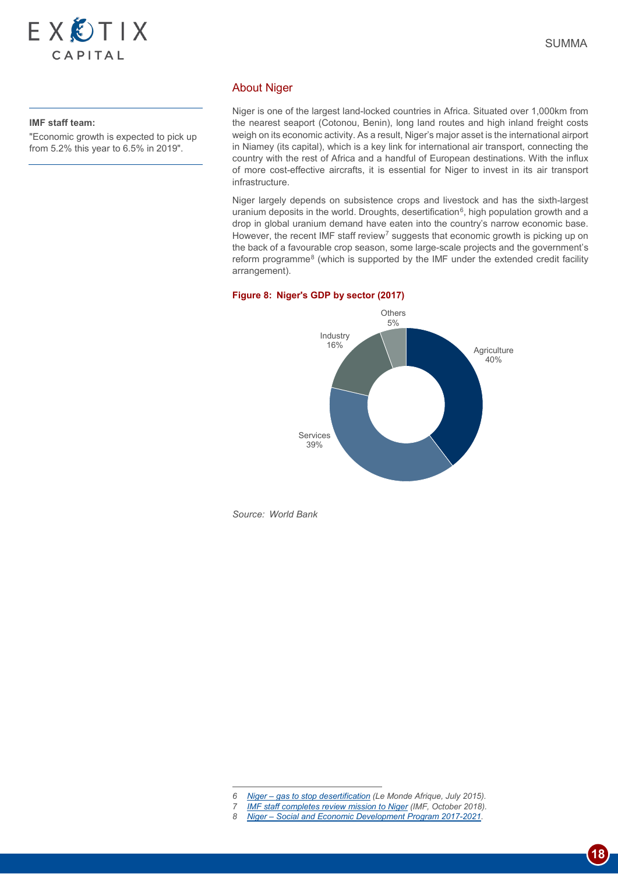

#### **IMF staff team:**

"Economic growth is expected to pick up from 5.2% this year to 6.5% in 2019".

Niger is one of the largest land-locked countries in Africa. Situated over 1,000km from the nearest seaport (Cotonou, Benin), long land routes and high inland freight costs weigh on its economic activity. As a result, Niger's major asset is the international airport in Niamey (its capital), which is a key link for international air transport, connecting the country with the rest of Africa and a handful of European destinations. With the influx of more cost-effective aircrafts, it is essential for Niger to invest in its air transport infrastructure.

Niger largely depends on subsistence crops and livestock and has the sixth-largest uranium deposits in the world. Droughts, desertification<sup>6</sup>, high population growth and a drop in global uranium demand have eaten into the country's narrow economic base. However, the recent IMF staff review<sup>[7](#page-17-1)</sup> suggests that economic growth is picking up on the back of a favourable crop season, some large-scale projects and the government's reform programme[8](#page-17-2) (which is supported by the IMF under the extended credit facility arrangement).

#### **Figure 8: Niger's GDP by sector (2017)**



*Source: World Bank*

-

<span id="page-17-2"></span><span id="page-17-1"></span><span id="page-17-0"></span>*8 Niger – [Social and Economic Development Program 2017-2021](https://www.nigerrenaissant.org/en/social-and-economic-development-plan)*.

*<sup>6</sup> Niger – [gas to stop desertification](https://www.lemonde.fr/afrique/article/2015/07/24/niger-le-gaz-pour-enrayer-la-desertification_4697420_3212.html) (Le Monde Afrique, July 2015).*

*<sup>7</sup> [IMF staff completes review mission to Niger](https://www.imf.org/en/News/Articles/2018/10/30/pr18400-imf-staff-completes-review-mission-to-niger) (IMF, October 2018).*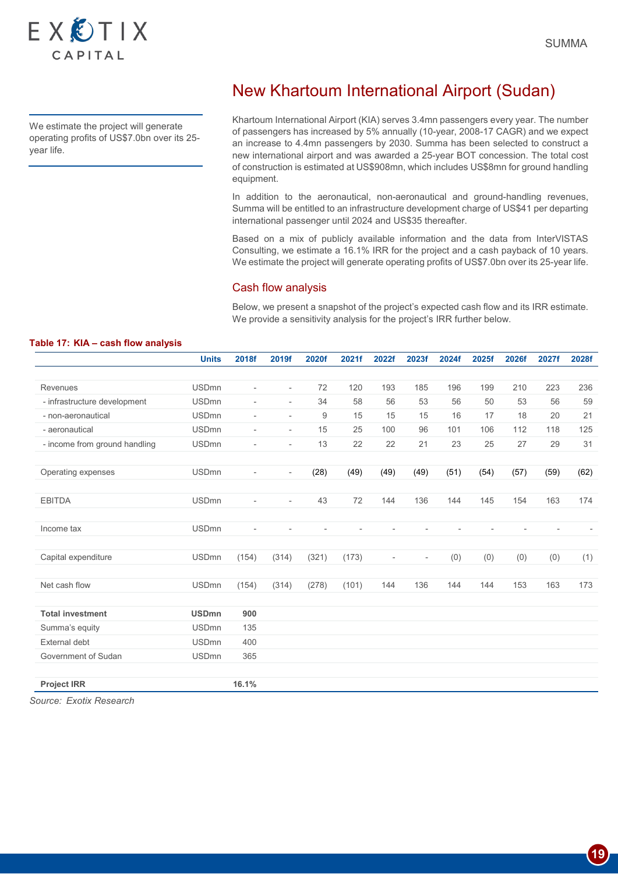

We estimate the project will generate operating profits of US\$7.0bn over its 25 year life.

# New Khartoum International Airport (Sudan)

Khartoum International Airport (KIA) serves 3.4mn passengers every year. The number of passengers has increased by 5% annually (10-year, 2008-17 CAGR) and we expect an increase to 4.4mn passengers by 2030. Summa has been selected to construct a new international airport and was awarded a 25-year BOT concession. The total cost of construction is estimated at US\$908mn, which includes US\$8mn for ground handling equipment.

In addition to the aeronautical, non-aeronautical and ground-handling revenues, Summa will be entitled to an infrastructure development charge of US\$41 per departing international passenger until 2024 and US\$35 thereafter.

Based on a mix of publicly available information and the data from InterVISTAS Consulting, we estimate a 16.1% IRR for the project and a cash payback of 10 years. We estimate the project will generate operating profits of US\$7.0bn over its 25-year life.

### Cash flow analysis

Below, we present a snapshot of the project's expected cash flow and its IRR estimate. We provide a sensitivity analysis for the project's IRR further below.

|                               | <b>Units</b> | 2018f                    | 2019f                    | 2020f | 2021f | 2022f                    | 2023f                    | 2024f | 2025f | 2026f | 2027f | 2028f |
|-------------------------------|--------------|--------------------------|--------------------------|-------|-------|--------------------------|--------------------------|-------|-------|-------|-------|-------|
|                               |              |                          |                          |       |       |                          |                          |       |       |       |       |       |
| Revenues                      | <b>USDmn</b> | $\overline{\phantom{a}}$ | $\overline{\phantom{a}}$ | 72    | 120   | 193                      | 185                      | 196   | 199   | 210   | 223   | 236   |
| - infrastructure development  | <b>USDmn</b> | $\overline{\phantom{a}}$ | $\overline{\phantom{a}}$ | 34    | 58    | 56                       | 53                       | 56    | 50    | 53    | 56    | 59    |
| - non-aeronautical            | <b>USDmn</b> | $\sim$                   | $\overline{\phantom{a}}$ | $9\,$ | 15    | 15                       | 15                       | 16    | 17    | 18    | 20    | 21    |
| - aeronautical                | <b>USDmn</b> | $\overline{\phantom{a}}$ | $\overline{\phantom{a}}$ | 15    | 25    | 100                      | 96                       | 101   | 106   | 112   | 118   | 125   |
| - income from ground handling | <b>USDmn</b> | $\overline{\phantom{a}}$ | $\overline{\phantom{a}}$ | 13    | 22    | 22                       | 21                       | 23    | 25    | 27    | 29    | 31    |
|                               |              |                          |                          |       |       |                          |                          |       |       |       |       |       |
| Operating expenses            | <b>USDmn</b> | $\overline{\phantom{a}}$ | $\overline{\phantom{a}}$ | (28)  | (49)  | (49)                     | (49)                     | (51)  | (54)  | (57)  | (59)  | (62)  |
|                               |              |                          |                          |       |       |                          |                          |       |       |       |       |       |
| <b>EBITDA</b>                 | <b>USDmn</b> | $\overline{\phantom{a}}$ | $\overline{\phantom{a}}$ | 43    | 72    | 144                      | 136                      | 144   | 145   | 154   | 163   | 174   |
|                               |              |                          |                          |       |       |                          |                          |       |       |       |       |       |
| Income tax                    | <b>USDmn</b> |                          |                          |       |       |                          |                          |       |       |       |       |       |
|                               |              |                          |                          |       |       |                          |                          |       |       |       |       |       |
| Capital expenditure           | <b>USDmn</b> | (154)                    | (314)                    | (321) | (173) | $\overline{\phantom{a}}$ | $\overline{\phantom{a}}$ | (0)   | (0)   | (0)   | (0)   | (1)   |
|                               |              |                          |                          |       |       |                          |                          |       |       |       |       |       |
| Net cash flow                 | <b>USDmn</b> | (154)                    | (314)                    | (278) | (101) | 144                      | 136                      | 144   | 144   | 153   | 163   | 173   |
|                               |              |                          |                          |       |       |                          |                          |       |       |       |       |       |
| <b>Total investment</b>       | <b>USDmn</b> | 900                      |                          |       |       |                          |                          |       |       |       |       |       |
| Summa's equity                | <b>USDmn</b> | 135                      |                          |       |       |                          |                          |       |       |       |       |       |
| <b>External debt</b>          | <b>USDmn</b> | 400                      |                          |       |       |                          |                          |       |       |       |       |       |
| Government of Sudan           | <b>USDmn</b> | 365                      |                          |       |       |                          |                          |       |       |       |       |       |
|                               |              |                          |                          |       |       |                          |                          |       |       |       |       |       |
| <b>Project IRR</b>            |              | 16.1%                    |                          |       |       |                          |                          |       |       |       |       |       |

**Table 17: KIA – cash flow analysis**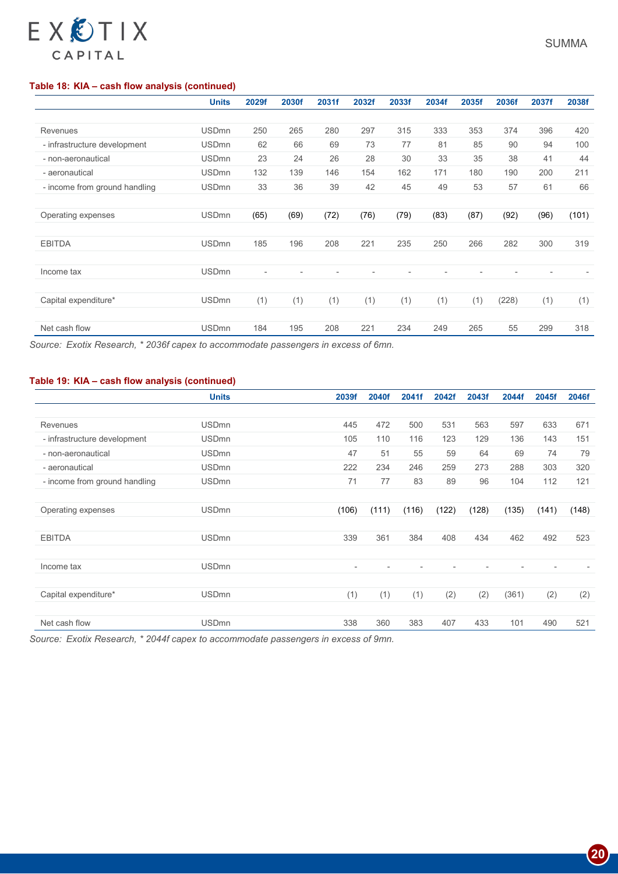# CAPITAL

# **Table 18: KIA – cash flow analysis (continued)**

EXCTIX

|                               | <b>Units</b> | 2029f | 2030f | 2031f          | 2032f | 2033f | 2034f | 2035f | 2036f | 2037f | 2038f |
|-------------------------------|--------------|-------|-------|----------------|-------|-------|-------|-------|-------|-------|-------|
|                               |              |       |       |                |       |       |       |       |       |       |       |
| Revenues                      | <b>USDmn</b> | 250   | 265   | 280            | 297   | 315   | 333   | 353   | 374   | 396   | 420   |
| - infrastructure development  | <b>USDmn</b> | 62    | 66    | 69             | 73    | 77    | 81    | 85    | 90    | 94    | 100   |
| - non-aeronautical            | <b>USDmn</b> | 23    | 24    | 26             | 28    | 30    | 33    | 35    | 38    | 41    | 44    |
| - aeronautical                | <b>USDmn</b> | 132   | 139   | 146            | 154   | 162   | 171   | 180   | 190   | 200   | 211   |
| - income from ground handling | <b>USDmn</b> | 33    | 36    | 39             | 42    | 45    | 49    | 53    | 57    | 61    | 66    |
|                               |              |       |       |                |       |       |       |       |       |       |       |
| Operating expenses            | <b>USDmn</b> | (65)  | (69)  | (72)           | (76)  | (79)  | (83)  | (87)  | (92)  | (96)  | (101) |
|                               |              |       |       |                |       |       |       |       |       |       |       |
| <b>EBITDA</b>                 | <b>USDmn</b> | 185   | 196   | 208            | 221   | 235   | 250   | 266   | 282   | 300   | 319   |
|                               |              |       |       |                |       |       |       |       |       |       |       |
| Income tax                    | <b>USDmn</b> |       |       | $\overline{a}$ |       |       |       |       |       |       |       |
|                               |              |       |       |                |       |       |       |       |       |       |       |
| Capital expenditure*          | <b>USDmn</b> | (1)   | (1)   | (1)            | (1)   | (1)   | (1)   | (1)   | (228) | (1)   | (1)   |
|                               |              |       |       |                |       |       |       |       |       |       |       |
| Net cash flow                 | <b>USDmn</b> | 184   | 195   | 208            | 221   | 234   | 249   | 265   | 55    | 299   | 318   |

*Source: Exotix Research, \* 2036f capex to accommodate passengers in excess of 6mn.*

# **Table 19: KIA – cash flow analysis (continued)**

|                               | <b>Units</b> | 2039f          | 2040f | 2041f | 2042f | 2043f | 2044f | 2045f | 2046f |
|-------------------------------|--------------|----------------|-------|-------|-------|-------|-------|-------|-------|
|                               |              |                |       |       |       |       |       |       |       |
| <b>Revenues</b>               | <b>USDmn</b> | 445            | 472   | 500   | 531   | 563   | 597   | 633   | 671   |
| - infrastructure development  | <b>USDmn</b> | 105            | 110   | 116   | 123   | 129   | 136   | 143   | 151   |
| - non-aeronautical            | <b>USDmn</b> | 47             | 51    | 55    | 59    | 64    | 69    | 74    | 79    |
| - aeronautical                | <b>USDmn</b> | 222            | 234   | 246   | 259   | 273   | 288   | 303   | 320   |
| - income from ground handling | <b>USDmn</b> | 71             | 77    | 83    | 89    | 96    | 104   | 112   | 121   |
|                               |              |                |       |       |       |       |       |       |       |
| Operating expenses            | <b>USDmn</b> | (106)          | (111) | (116) | (122) | (128) | (135) | (141) | (148) |
|                               |              |                |       |       |       |       |       |       |       |
| <b>EBITDA</b>                 | <b>USDmn</b> | 339            | 361   | 384   | 408   | 434   | 462   | 492   | 523   |
|                               |              |                |       |       |       |       |       |       |       |
| Income tax                    | <b>USDmn</b> | $\overline{a}$ |       |       |       |       |       |       |       |
|                               |              |                |       |       |       |       |       |       |       |
| Capital expenditure*          | <b>USDmn</b> | (1)            | (1)   | (1)   | (2)   | (2)   | (361) | (2)   | (2)   |
|                               |              |                |       |       |       |       |       |       |       |
| Net cash flow                 | <b>USDmn</b> | 338            | 360   | 383   | 407   | 433   | 101   | 490   | 521   |

*Source: Exotix Research, \* 2044f capex to accommodate passengers in excess of 9mn.*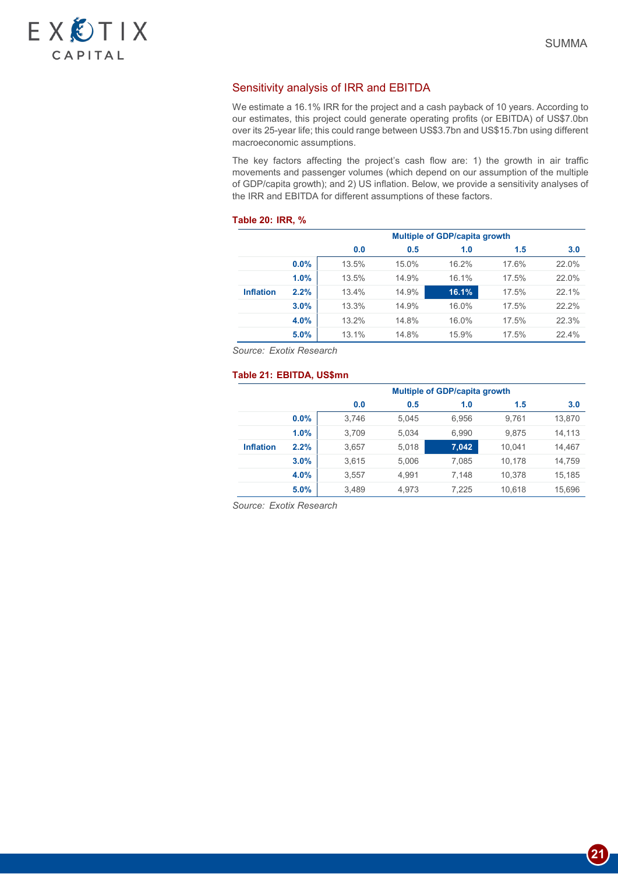

# Sensitivity analysis of IRR and EBITDA

We estimate a 16.1% IRR for the project and a cash payback of 10 years. According to our estimates, this project could generate operating profits (or EBITDA) of US\$7.0bn over its 25-year life; this could range between US\$3.7bn and US\$15.7bn using different macroeconomic assumptions.

The key factors affecting the project's cash flow are: 1) the growth in air traffic movements and passenger volumes (which depend on our assumption of the multiple of GDP/capita growth); and 2) US inflation. Below, we provide a sensitivity analyses of the IRR and EBITDA for different assumptions of these factors.

#### **Table 20: IRR, %**

|                  |      | <b>Multiple of GDP/capita growth</b> |       |       |       |       |  |  |  |  |  |
|------------------|------|--------------------------------------|-------|-------|-------|-------|--|--|--|--|--|
|                  |      | 0.0                                  | 0.5   | 1.0   | 1.5   | 3.0   |  |  |  |  |  |
|                  | 0.0% | 13.5%                                | 15.0% | 16.2% | 17.6% | 22.0% |  |  |  |  |  |
|                  | 1.0% | 13.5%                                | 14.9% | 16.1% | 17.5% | 22.0% |  |  |  |  |  |
| <b>Inflation</b> | 2.2% | 13.4%                                | 14.9% | 16.1% | 17.5% | 22.1% |  |  |  |  |  |
|                  | 3.0% | 13.3%                                | 14.9% | 16.0% | 17.5% | 22.2% |  |  |  |  |  |
|                  | 4.0% | 13.2%                                | 14.8% | 16.0% | 17.5% | 22.3% |  |  |  |  |  |
|                  | 5.0% | 13.1%                                | 14.8% | 15.9% | 17.5% | 22.4% |  |  |  |  |  |

*Source: Exotix Research*

### **Table 21: EBITDA, US\$mn**

|                  |      |       | <b>Multiple of GDP/capita growth</b> |       |        |        |  |  |  |  |  |  |  |
|------------------|------|-------|--------------------------------------|-------|--------|--------|--|--|--|--|--|--|--|
|                  |      | 0.0   | 0.5<br>1.0<br>1.5                    |       |        |        |  |  |  |  |  |  |  |
|                  | 0.0% | 3,746 | 5.045                                | 6.956 | 9.761  | 13,870 |  |  |  |  |  |  |  |
|                  | 1.0% | 3.709 | 5.034                                | 6,990 | 9.875  | 14.113 |  |  |  |  |  |  |  |
| <b>Inflation</b> | 2.2% | 3,657 | 5,018                                | 7,042 | 10.041 | 14,467 |  |  |  |  |  |  |  |
|                  | 3.0% | 3,615 | 5,006                                | 7.085 | 10.178 | 14,759 |  |  |  |  |  |  |  |
|                  | 4.0% | 3,557 | 4.991                                | 7.148 | 10.378 | 15.185 |  |  |  |  |  |  |  |
|                  | 5.0% | 3,489 | 4.973                                | 7.225 | 10,618 | 15,696 |  |  |  |  |  |  |  |